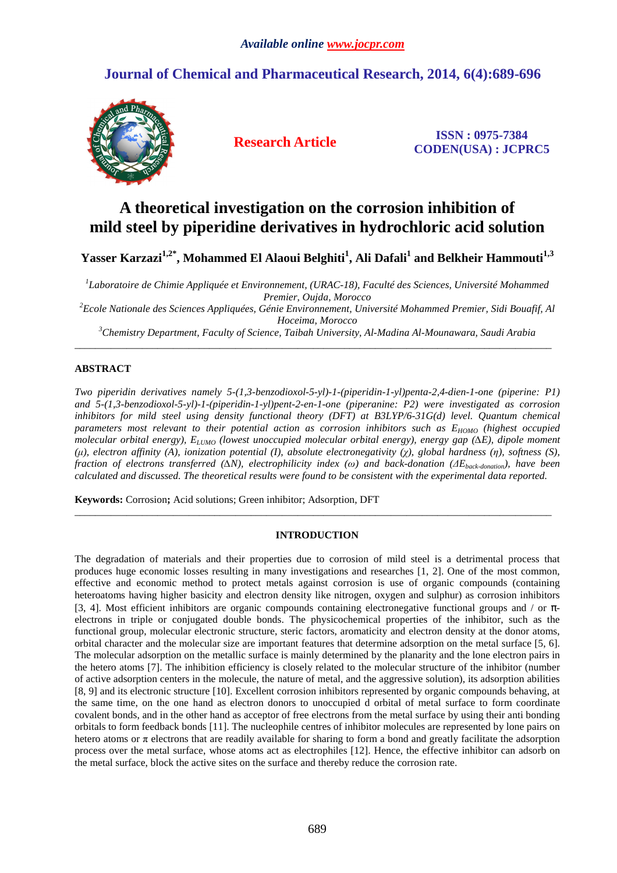## **Journal of Chemical and Pharmaceutical Research, 2014, 6(4):689-696**



**Research Article ISSN : 0975-7384 CODEN(USA) : JCPRC5**

# **A theoretical investigation on the corrosion inhibition of mild steel by piperidine derivatives in hydrochloric acid solution**

**Yasser Karzazi1,2\*, Mohammed El Alaoui Belghiti<sup>1</sup> , Ali Dafali<sup>1</sup> and Belkheir Hammouti1,3** 

*1 Laboratoire de Chimie Appliquée et Environnement, (URAC-18), Faculté des Sciences, Université Mohammed Premier, Oujda, Morocco* 

*<sup>2</sup>Ecole Nationale des Sciences Appliquées, Génie Environnement, Université Mohammed Premier, Sidi Bouafif, Al Hoceima, Morocco* 

*<sup>3</sup>Chemistry Department, Faculty of Science, Taibah University, Al-Madina Al-Mounawara, Saudi Arabia*   $\overline{\phantom{a}}$  , and the contribution of the contribution of the contribution of the contribution of the contribution of the contribution of the contribution of the contribution of the contribution of the contribution of the

### **ABSTRACT**

*Two piperidin derivatives namely 5-(1,3-benzodioxol-5-yl)-1-(piperidin-1-yl)penta-2,4-dien-1-one (piperine: P1) and 5-(1,3-benzodioxol-5-yl)-1-(piperidin-1-yl)pent-2-en-1-one (piperanine: P2) were investigated as corrosion inhibitors for mild steel using density functional theory (DFT) at B3LYP/6-31G(d) level. Quantum chemical parameters most relevant to their potential action as corrosion inhibitors such as E<sub>HOMO</sub> (highest occupied molecular orbital energy), ELUMO (lowest unoccupied molecular orbital energy), energy gap (∆E), dipole moment (µ), electron affinity (A), ionization potential (I), absolute electronegativity (χ), global hardness (η), softness (S), fraction of electrons transferred (∆N), electrophilicity index (ω) and back-donation (∆Eback-donation), have been calculated and discussed. The theoretical results were found to be consistent with the experimental data reported.* 

**Keywords:** Corrosion**;** Acid solutions; Green inhibitor; Adsorption, DFT

#### **INTRODUCTION**

\_\_\_\_\_\_\_\_\_\_\_\_\_\_\_\_\_\_\_\_\_\_\_\_\_\_\_\_\_\_\_\_\_\_\_\_\_\_\_\_\_\_\_\_\_\_\_\_\_\_\_\_\_\_\_\_\_\_\_\_\_\_\_\_\_\_\_\_\_\_\_\_\_\_\_\_\_\_\_\_\_\_\_\_\_\_\_\_\_\_\_\_

The degradation of materials and their properties due to corrosion of mild steel is a detrimental process that produces huge economic losses resulting in many investigations and researches [1, 2]. One of the most common, effective and economic method to protect metals against corrosion is use of organic compounds (containing heteroatoms having higher basicity and electron density like nitrogen, oxygen and sulphur) as corrosion inhibitors [3, 4]. Most efficient inhibitors are organic compounds containing electronegative functional groups and / or  $\pi$ electrons in triple or conjugated double bonds. The physicochemical properties of the inhibitor, such as the functional group, molecular electronic structure, steric factors, aromaticity and electron density at the donor atoms, orbital character and the molecular size are important features that determine adsorption on the metal surface [5, 6]. The molecular adsorption on the metallic surface is mainly determined by the planarity and the lone electron pairs in the hetero atoms [7]. The inhibition efficiency is closely related to the molecular structure of the inhibitor (number of active adsorption centers in the molecule, the nature of metal, and the aggressive solution), its adsorption abilities [8, 9] and its electronic structure [10]. Excellent corrosion inhibitors represented by organic compounds behaving, at the same time, on the one hand as electron donors to unoccupied d orbital of metal surface to form coordinate covalent bonds, and in the other hand as acceptor of free electrons from the metal surface by using their anti bonding orbitals to form feedback bonds [11]. The nucleophile centres of inhibitor molecules are represented by lone pairs on hetero atoms or  $\pi$  electrons that are readily available for sharing to form a bond and greatly facilitate the adsorption process over the metal surface, whose atoms act as electrophiles [12]. Hence, the effective inhibitor can adsorb on the metal surface, block the active sites on the surface and thereby reduce the corrosion rate.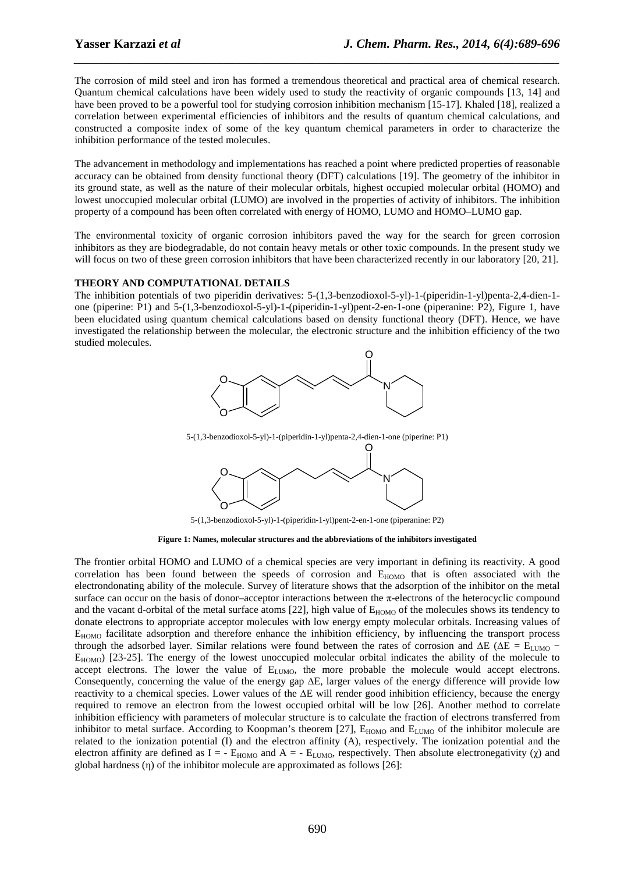The corrosion of mild steel and iron has formed a tremendous theoretical and practical area of chemical research. Quantum chemical calculations have been widely used to study the reactivity of organic compounds [13, 14] and have been proved to be a powerful tool for studying corrosion inhibition mechanism [15-17]. Khaled [18], realized a correlation between experimental efficiencies of inhibitors and the results of quantum chemical calculations, and constructed a composite index of some of the key quantum chemical parameters in order to characterize the inhibition performance of the tested molecules.

*\_\_\_\_\_\_\_\_\_\_\_\_\_\_\_\_\_\_\_\_\_\_\_\_\_\_\_\_\_\_\_\_\_\_\_\_\_\_\_\_\_\_\_\_\_\_\_\_\_\_\_\_\_\_\_\_\_\_\_\_\_\_\_\_\_\_\_\_\_\_\_\_\_\_\_\_\_\_*

The advancement in methodology and implementations has reached a point where predicted properties of reasonable accuracy can be obtained from density functional theory (DFT) calculations [19]. The geometry of the inhibitor in its ground state, as well as the nature of their molecular orbitals, highest occupied molecular orbital (HOMO) and lowest unoccupied molecular orbital (LUMO) are involved in the properties of activity of inhibitors. The inhibition property of a compound has been often correlated with energy of HOMO, LUMO and HOMO–LUMO gap.

The environmental toxicity of organic corrosion inhibitors paved the way for the search for green corrosion inhibitors as they are biodegradable, do not contain heavy metals or other toxic compounds. In the present study we will focus on two of these green corrosion inhibitors that have been characterized recently in our laboratory [20, 21].

#### **THEORY AND COMPUTATIONAL DETAILS**

The inhibition potentials of two piperidin derivatives: 5-(1,3-benzodioxol-5-yl)-1-(piperidin-1-yl)penta-2,4-dien-1 one (piperine: P1) and 5-(1,3-benzodioxol-5-yl)-1-(piperidin-1-yl)pent-2-en-1-one (piperanine: P2), Figure 1, have been elucidated using quantum chemical calculations based on density functional theory (DFT). Hence, we have investigated the relationship between the molecular, the electronic structure and the inhibition efficiency of the two studied molecules.



5-(1,3-benzodioxol-5-yl)-1-(piperidin-1-yl)penta-2,4-dien-1-one (piperine: P1)



5-(1,3-benzodioxol-5-yl)-1-(piperidin-1-yl)pent-2-en-1-one (piperanine: P2)

**Figure 1: Names, molecular structures and the abbreviations of the inhibitors investigated** 

The frontier orbital HOMO and LUMO of a chemical species are very important in defining its reactivity. A good correlation has been found between the speeds of corrosion and  $E_{HOMO}$  that is often associated with the electrondonating ability of the molecule. Survey of literature shows that the adsorption of the inhibitor on the metal surface can occur on the basis of donor–acceptor interactions between the π-electrons of the heterocyclic compound and the vacant d-orbital of the metal surface atoms [22], high value of  $E_{HOMO}$  of the molecules shows its tendency to donate electrons to appropriate acceptor molecules with low energy empty molecular orbitals. Increasing values of  $E_{HOMO}$  facilitate adsorption and therefore enhance the inhibition efficiency, by influencing the transport process through the adsorbed layer. Similar relations were found between the rates of corrosion and  $\Delta E$  ( $\Delta E = E_{LUMO}$  −  $E_{HOMO}$ ) [23-25]. The energy of the lowest unoccupied molecular orbital indicates the ability of the molecule to accept electrons. The lower the value of E<sub>LUMO</sub>, the more probable the molecule would accept electrons. Consequently, concerning the value of the energy gap ∆E, larger values of the energy difference will provide low reactivity to a chemical species. Lower values of the ∆E will render good inhibition efficiency, because the energy required to remove an electron from the lowest occupied orbital will be low [26]. Another method to correlate inhibition efficiency with parameters of molecular structure is to calculate the fraction of electrons transferred from inhibitor to metal surface. According to Koopman's theorem [27],  $E_{HOMO}$  and  $E_{LUMO}$  of the inhibitor molecule are related to the ionization potential (I) and the electron affinity (A), respectively. The ionization potential and the electron affinity are defined as  $I = -E_{HOMO}$  and  $A = -E_{LUMO}$ , respectively. Then absolute electronegativity ( $\chi$ ) and global hardness (η) of the inhibitor molecule are approximated as follows [26]: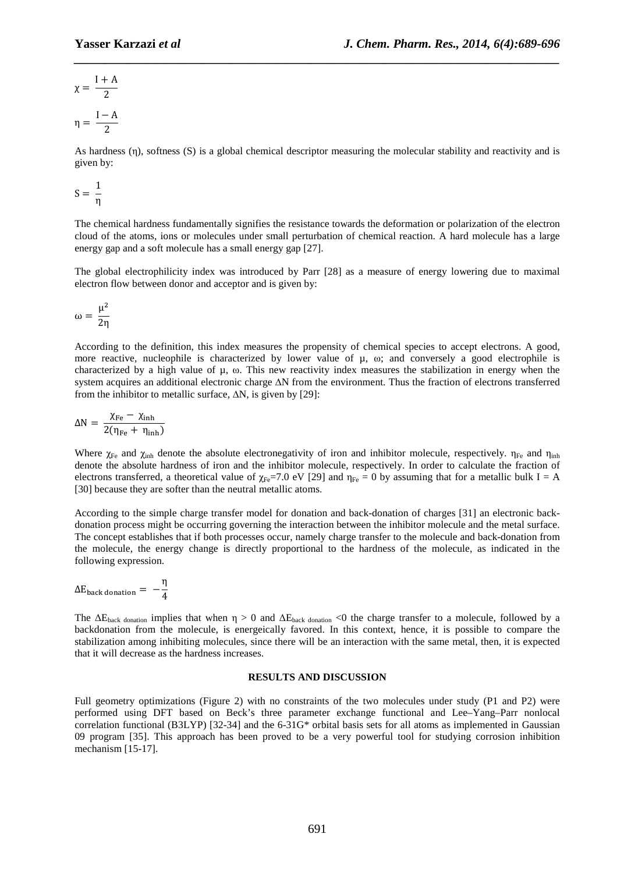$$
\chi = \frac{I + A}{2}
$$

$$
\eta = \frac{I - A}{2}
$$

As hardness (η), softness (S) is a global chemical descriptor measuring the molecular stability and reactivity and is given by:

*\_\_\_\_\_\_\_\_\_\_\_\_\_\_\_\_\_\_\_\_\_\_\_\_\_\_\_\_\_\_\_\_\_\_\_\_\_\_\_\_\_\_\_\_\_\_\_\_\_\_\_\_\_\_\_\_\_\_\_\_\_\_\_\_\_\_\_\_\_\_\_\_\_\_\_\_\_\_*

$$
S=\frac{1}{\eta}
$$

The chemical hardness fundamentally signifies the resistance towards the deformation or polarization of the electron cloud of the atoms, ions or molecules under small perturbation of chemical reaction. A hard molecule has a large energy gap and a soft molecule has a small energy gap [27].

The global electrophilicity index was introduced by Parr [28] as a measure of energy lowering due to maximal electron flow between donor and acceptor and is given by:

$$
\omega=\frac{\mu^2}{2\eta}
$$

According to the definition, this index measures the propensity of chemical species to accept electrons. A good, more reactive, nucleophile is characterized by lower value of μ, ω; and conversely a good electrophile is characterized by a high value of µ, ω. This new reactivity index measures the stabilization in energy when the system acquires an additional electronic charge ∆N from the environment. Thus the fraction of electrons transferred from the inhibitor to metallic surface,  $\Delta N$ , is given by [29]:

$$
\Delta N = \frac{\chi_{\rm Fe} - \chi_{\rm inh}}{2(\eta_{\rm Fe} + \eta_{\rm inh})}
$$

Where  $\chi_{\rm Fe}$  and  $\chi_{\rm inh}$  denote the absolute electronegativity of iron and inhibitor molecule, respectively.  $\eta_{\rm Fe}$  and  $\eta_{\rm inh}$ denote the absolute hardness of iron and the inhibitor molecule, respectively. In order to calculate the fraction of electrons transferred, a theoretical value of  $\chi_{Fe}$ =7.0 eV [29] and  $\eta_{Fe}$  = 0 by assuming that for a metallic bulk I = A [30] because they are softer than the neutral metallic atoms.

According to the simple charge transfer model for donation and back-donation of charges [31] an electronic backdonation process might be occurring governing the interaction between the inhibitor molecule and the metal surface. The concept establishes that if both processes occur, namely charge transfer to the molecule and back-donation from the molecule, the energy change is directly proportional to the hardness of the molecule, as indicated in the following expression.

$$
\Delta E_{\text{back domain}} = -\frac{\eta}{4}
$$

The  $\Delta E_{\text{back domain}}$  implies that when  $\eta > 0$  and  $\Delta E_{\text{back domain}} < 0$  the charge transfer to a molecule, followed by a backdonation from the molecule, is energeically favored. In this context, hence, it is possible to compare the stabilization among inhibiting molecules, since there will be an interaction with the same metal, then, it is expected that it will decrease as the hardness increases.

#### **RESULTS AND DISCUSSION**

Full geometry optimizations (Figure 2) with no constraints of the two molecules under study (P1 and P2) were performed using DFT based on Beck's three parameter exchange functional and Lee–Yang–Parr nonlocal correlation functional (B3LYP) [32-34] and the 6-31G\* orbital basis sets for all atoms as implemented in Gaussian 09 program [35]. This approach has been proved to be a very powerful tool for studying corrosion inhibition mechanism [15-17].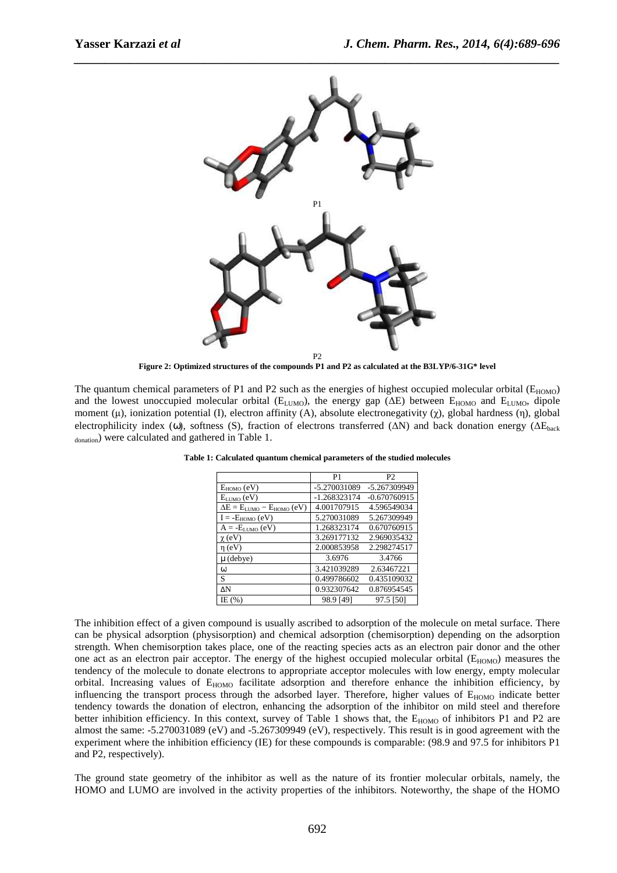

**Figure 2: Optimized structures of the compounds P1 and P2 as calculated at the B3LYP/6-31G\* level** 

The quantum chemical parameters of P1 and P2 such as the energies of highest occupied molecular orbital ( $E_{HOMO}$ ) and the lowest unoccupied molecular orbital ( $E_{LUMO}$ ), the energy gap ( $\Delta E$ ) between  $E_{HOMO}$  and  $E_{LUMO}$ , dipole moment (μ), ionization potential (Ι), electron affinity (A), absolute electronegativity (χ), global hardness (η), global electrophilicity index (ω), softness (S), fraction of electrons transferred ( $\Delta N$ ) and back donation energy ( $\Delta E_{\text{back}}$ donation) were calculated and gathered in Table 1.

|                                       | P <sub>1</sub> | P <sub>2</sub> |
|---------------------------------------|----------------|----------------|
| $E_{HOMO}$ (eV)                       | -5.270031089   | -5.267309949   |
| $E_{LUMO}$ (eV)                       | $-1.268323174$ | $-0.670760915$ |
| $\Delta E = E_{LUMO} - E_{HOMO} (eV)$ | 4.001707915    | 4.596549034    |
| $I = -E_{HOMO} (eV)$                  | 5.270031089    | 5.267309949    |
| $A = -E_{LUMO}(eV)$                   | 1.268323174    | 0.670760915    |
| $\chi$ (eV)                           | 3.269177132    | 2.969035432    |
| $\eta$ (eV)                           | 2.000853958    | 2.298274517    |
| $\mu$ (debye)                         | 3.6976         | 3.4766         |
| $\omega$                              | 3.421039289    | 2.63467221     |
| S                                     | 0.499786602    | 0.435109032    |
| ΔN                                    | 0.932307642    | 0.876954545    |
| IE $(%)$                              | 98.9 [49]      | 97.5 [50]      |

**Table 1: Calculated quantum chemical parameters of the studied molecules** 

The inhibition effect of a given compound is usually ascribed to adsorption of the molecule on metal surface. There can be physical adsorption (physisorption) and chemical adsorption (chemisorption) depending on the adsorption strength. When chemisorption takes place, one of the reacting species acts as an electron pair donor and the other one act as an electron pair acceptor. The energy of the highest occupied molecular orbital ( $E_{HOMO}$ ) measures the tendency of the molecule to donate electrons to appropriate acceptor molecules with low energy, empty molecular orbital. Increasing values of E<sub>HOMO</sub> facilitate adsorption and therefore enhance the inhibition efficiency, by influencing the transport process through the adsorbed layer. Therefore, higher values of  $E_{HOMO}$  indicate better tendency towards the donation of electron, enhancing the adsorption of the inhibitor on mild steel and therefore better inhibition efficiency. In this context, survey of Table 1 shows that, the  $E_{HOMO}$  of inhibitors P1 and P2 are almost the same: -5.270031089 (eV) and -5.267309949 (eV), respectively. This result is in good agreement with the experiment where the inhibition efficiency (IE) for these compounds is comparable: (98.9 and 97.5 for inhibitors P1 and P2, respectively).

The ground state geometry of the inhibitor as well as the nature of its frontier molecular orbitals, namely, the HOMO and LUMO are involved in the activity properties of the inhibitors. Noteworthy, the shape of the HOMO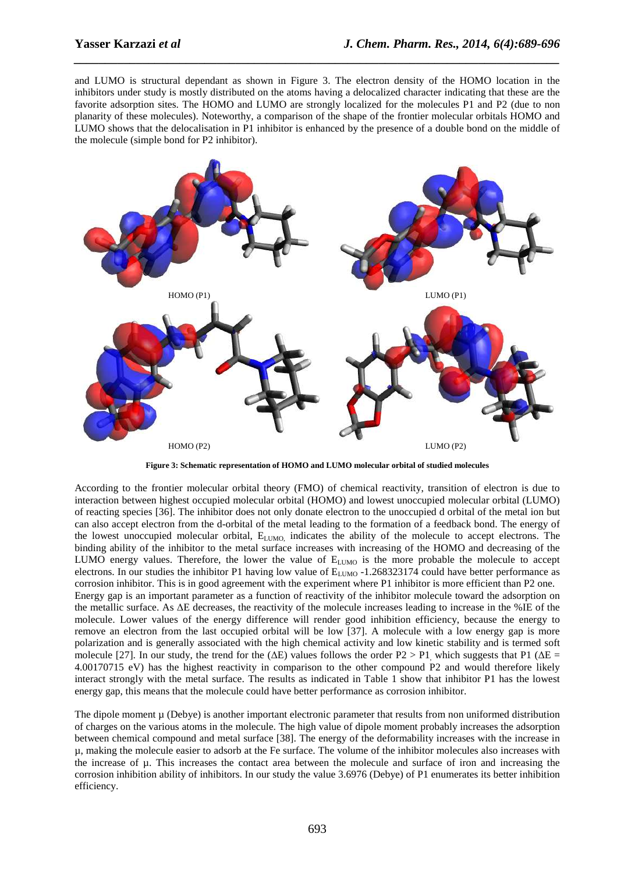and LUMO is structural dependant as shown in Figure 3. The electron density of the HOMO location in the inhibitors under study is mostly distributed on the atoms having a delocalized character indicating that these are the favorite adsorption sites. The HOMO and LUMO are strongly localized for the molecules P1 and P2 (due to non planarity of these molecules). Noteworthy, a comparison of the shape of the frontier molecular orbitals HOMO and LUMO shows that the delocalisation in P1 inhibitor is enhanced by the presence of a double bond on the middle of the molecule (simple bond for P2 inhibitor).

*\_\_\_\_\_\_\_\_\_\_\_\_\_\_\_\_\_\_\_\_\_\_\_\_\_\_\_\_\_\_\_\_\_\_\_\_\_\_\_\_\_\_\_\_\_\_\_\_\_\_\_\_\_\_\_\_\_\_\_\_\_\_\_\_\_\_\_\_\_\_\_\_\_\_\_\_\_\_*



**Figure 3: Schematic representation of HOMO and LUMO molecular orbital of studied molecules** 

According to the frontier molecular orbital theory (FMO) of chemical reactivity, transition of electron is due to interaction between highest occupied molecular orbital (HOMO) and lowest unoccupied molecular orbital (LUMO) of reacting species [36]. The inhibitor does not only donate electron to the unoccupied d orbital of the metal ion but can also accept electron from the d-orbital of the metal leading to the formation of a feedback bond. The energy of the lowest unoccupied molecular orbital, E<sub>LUMO</sub>, indicates the ability of the molecule to accept electrons. The binding ability of the inhibitor to the metal surface increases with increasing of the HOMO and decreasing of the LUMO energy values. Therefore, the lower the value of E<sub>LUMO</sub> is the more probable the molecule to accept electrons. In our studies the inhibitor P1 having low value of  $E_{LUMO}$  -1.268323174 could have better performance as corrosion inhibitor. This is in good agreement with the experiment where P1 inhibitor is more efficient than P2 one. Energy gap is an important parameter as a function of reactivity of the inhibitor molecule toward the adsorption on the metallic surface. As ∆E decreases, the reactivity of the molecule increases leading to increase in the %IE of the molecule. Lower values of the energy difference will render good inhibition efficiency, because the energy to remove an electron from the last occupied orbital will be low [37]. A molecule with a low energy gap is more polarization and is generally associated with the high chemical activity and low kinetic stability and is termed soft molecule [27]. In our study, the trend for the ( $\Delta E$ ) values follows the order P2 > P1, which suggests that P1 ( $\Delta E$  = 4.00170715 eV) has the highest reactivity in comparison to the other compound P2 and would therefore likely interact strongly with the metal surface. The results as indicated in Table 1 show that inhibitor P1 has the lowest energy gap, this means that the molecule could have better performance as corrosion inhibitor.

The dipole moment  $\mu$  (Debye) is another important electronic parameter that results from non uniformed distribution of charges on the various atoms in the molecule. The high value of dipole moment probably increases the adsorption between chemical compound and metal surface [38]. The energy of the deformability increases with the increase in µ, making the molecule easier to adsorb at the Fe surface. The volume of the inhibitor molecules also increases with the increase of µ. This increases the contact area between the molecule and surface of iron and increasing the corrosion inhibition ability of inhibitors. In our study the value 3.6976 (Debye) of P1 enumerates its better inhibition efficiency.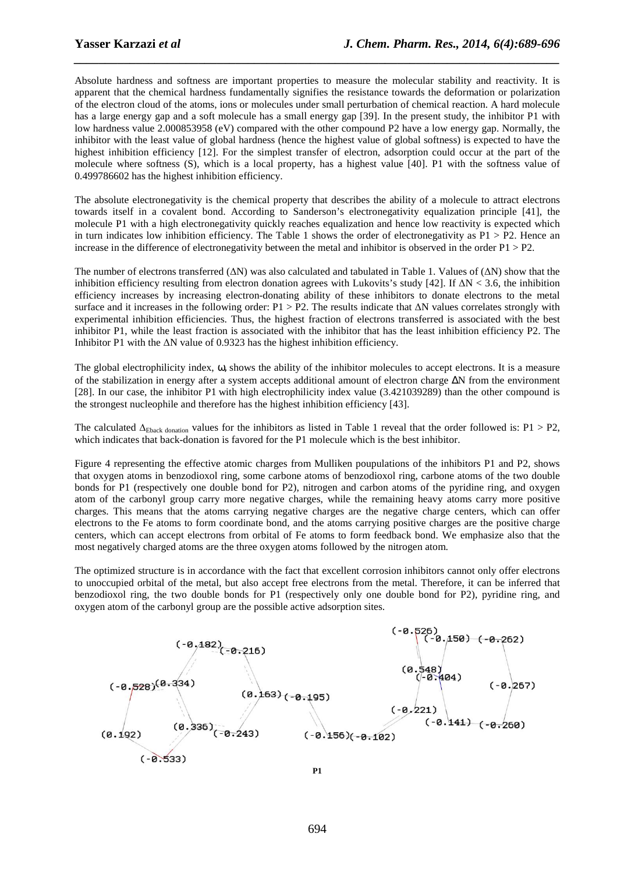Absolute hardness and softness are important properties to measure the molecular stability and reactivity. It is apparent that the chemical hardness fundamentally signifies the resistance towards the deformation or polarization of the electron cloud of the atoms, ions or molecules under small perturbation of chemical reaction. A hard molecule has a large energy gap and a soft molecule has a small energy gap [39]. In the present study, the inhibitor P1 with low hardness value 2.000853958 (eV) compared with the other compound P2 have a low energy gap. Normally, the inhibitor with the least value of global hardness (hence the highest value of global softness) is expected to have the highest inhibition efficiency [12]. For the simplest transfer of electron, adsorption could occur at the part of the molecule where softness (S), which is a local property, has a highest value [40]. P1 with the softness value of 0.499786602 has the highest inhibition efficiency.

*\_\_\_\_\_\_\_\_\_\_\_\_\_\_\_\_\_\_\_\_\_\_\_\_\_\_\_\_\_\_\_\_\_\_\_\_\_\_\_\_\_\_\_\_\_\_\_\_\_\_\_\_\_\_\_\_\_\_\_\_\_\_\_\_\_\_\_\_\_\_\_\_\_\_\_\_\_\_*

The absolute electronegativity is the chemical property that describes the ability of a molecule to attract electrons towards itself in a covalent bond. According to Sanderson's electronegativity equalization principle [41], the molecule P1 with a high electronegativity quickly reaches equalization and hence low reactivity is expected which in turn indicates low inhibition efficiency. The Table 1 shows the order of electronegativity as  $P1 > P2$ . Hence an increase in the difference of electronegativity between the metal and inhibitor is observed in the order  $P1 > P2$ .

The number of electrons transferred (∆N) was also calculated and tabulated in Table 1. Values of (∆N) show that the inhibition efficiency resulting from electron donation agrees with Lukovits's study [42]. If  $\Delta N < 3.6$ , the inhibition efficiency increases by increasing electron-donating ability of these inhibitors to donate electrons to the metal surface and it increases in the following order: P1 > P2. The results indicate that ∆N values correlates strongly with experimental inhibition efficiencies. Thus, the highest fraction of electrons transferred is associated with the best inhibitor P1, while the least fraction is associated with the inhibitor that has the least inhibition efficiency P2. The Inhibitor P1 with the ∆N value of 0.9323 has the highest inhibition efficiency.

The global electrophilicity index,  $\omega$ , shows the ability of the inhibitor molecules to accept electrons. It is a measure of the stabilization in energy after a system accepts additional amount of electron charge ∆N from the environment [28]. In our case, the inhibitor P1 with high electrophilicity index value (3.421039289) than the other compound is the strongest nucleophile and therefore has the highest inhibition efficiency [43].

The calculated  $\Delta_{\text{Eback domain}}$  values for the inhibitors as listed in Table 1 reveal that the order followed is: P1 > P2, which indicates that back-donation is favored for the P1 molecule which is the best inhibitor.

Figure 4 representing the effective atomic charges from Mulliken poupulations of the inhibitors P1 and P2, shows that oxygen atoms in benzodioxol ring, some carbone atoms of benzodioxol ring, carbone atoms of the two double bonds for P1 (respectively one double bond for P2), nitrogen and carbon atoms of the pyridine ring, and oxygen atom of the carbonyl group carry more negative charges, while the remaining heavy atoms carry more positive charges. This means that the atoms carrying negative charges are the negative charge centers, which can offer electrons to the Fe atoms to form coordinate bond, and the atoms carrying positive charges are the positive charge centers, which can accept electrons from orbital of Fe atoms to form feedback bond. We emphasize also that the most negatively charged atoms are the three oxygen atoms followed by the nitrogen atom.

The optimized structure is in accordance with the fact that excellent corrosion inhibitors cannot only offer electrons to unoccupied orbital of the metal, but also accept free electrons from the metal. Therefore, it can be inferred that benzodioxol ring, the two double bonds for P1 (respectively only one double bond for P2), pyridine ring, and oxygen atom of the carbonyl group are the possible active adsorption sites.

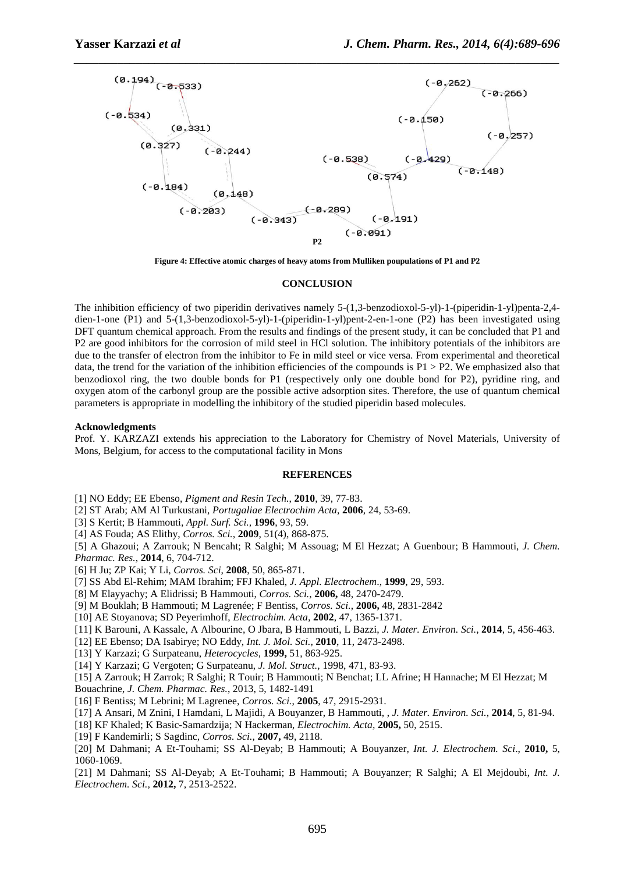

**Figure 4: Effective atomic charges of heavy atoms from Mulliken poupulations of P1 and P2** 

#### **CONCLUSION**

The inhibition efficiency of two piperidin derivatives namely 5-(1,3-benzodioxol-5-yl)-1-(piperidin-1-yl)penta-2,4 dien-1-one (P1) and 5-(1,3-benzodioxol-5-yl)-1-(piperidin-1-yl)pent-2-en-1-one (P2) has been investigated using DFT quantum chemical approach. From the results and findings of the present study, it can be concluded that P1 and P2 are good inhibitors for the corrosion of mild steel in HCl solution. The inhibitory potentials of the inhibitors are due to the transfer of electron from the inhibitor to Fe in mild steel or vice versa. From experimental and theoretical data, the trend for the variation of the inhibition efficiencies of the compounds is  $P1 > P2$ . We emphasized also that benzodioxol ring, the two double bonds for P1 (respectively only one double bond for P2), pyridine ring, and oxygen atom of the carbonyl group are the possible active adsorption sites. Therefore, the use of quantum chemical parameters is appropriate in modelling the inhibitory of the studied piperidin based molecules.

#### **Acknowledgments**

Prof. Y. KARZAZI extends his appreciation to the Laboratory for Chemistry of Novel Materials, University of Mons, Belgium, for access to the computational facility in Mons

#### **REFERENCES**

[1] NO Eddy; EE Ebenso, *Pigment and Resin Tech.*, **2010**, 39, 77-83.

- [2] ST Arab; AM Al Turkustani, *Portugaliae Electrochim Acta*, **2006**, 24, 53-69.
- [3] S Kertit; B Hammouti, *Appl. Surf. Sci.,* **1996**, 93, 59.
- [4] AS Fouda; AS Elithy, *Corros. Sci.,* **2009**, 51(4), 868-875.

[5] A Ghazoui; A Zarrouk; N Bencaht; R Salghi; M Assouag; M El Hezzat; A Guenbour; B Hammouti, *J. Chem. Pharmac. Res.*, **2014**, 6, 704-712.

- [6] H Ju; ZP Kai; Y Li, *Corros. Sci*, **2008**, 50, 865-871.
- [7] SS Abd El-Rehim; MAM Ibrahim; FFJ Khaled, *J. Appl. Electrochem*., **1999**, 29, 593.
- [8] M Elayyachy; A Elidrissi; B Hammouti, *Corros. Sci.*, **2006,** 48, 2470-2479.
- [9] M Bouklah; B Hammouti; M Lagrenée; F Bentiss, *Corros. Sci.*, **2006,** 48, 2831-2842
- [10] AE Stoyanova; SD Peyerimhoff, *Electrochim. Acta,* **2002**, 47, 1365-1371.
- [11] K Barouni, A Kassale, A Albourine, O Jbara, B Hammouti, L Bazzi, *J. Mater. Environ. Sci.*, **2014**, 5, 456-463.
- [12] EE Ebenso; DA Isabirye; NO Eddy, *Int. J. Mol. Sci.,* **2010**, 11, 2473-2498.
- [13] Y Karzazi; G Surpateanu, *Heterocycles*, **1999,** 51, 863-925.
- [14] Y Karzazi; G Vergoten; G Surpateanu, *J. Mol. Struct.,* 1998, 471, 83-93.
- [15] A Zarrouk; H Zarrok; R Salghi; R Touir; B Hammouti; N Benchat; LL Afrine; H Hannache; M El Hezzat; M
- Bouachrine, *J. Chem. Pharmac. Res.*, 2013, 5, 1482-1491
- [16] F Bentiss; M Lebrini; M Lagrenee, *Corros. Sci.*, **2005**, 47, 2915-2931.
- [17] A Ansari, M Znini, I Hamdani, L Majidi, A Bouyanzer, B Hammouti, , *J. Mater. Environ. Sci.*, **2014**, 5, 81-94.
- [18] KF Khaled; K Basic-Samardzija; N Hackerman, *Electrochim. Acta,* **2005,** 50, 2515.
- [19] F Kandemirli; S Sagdinc, *Corros. Sci.,* **2007,** 49, 2118.
- [20] M Dahmani; A Et-Touhami; SS Al-Deyab; B Hammouti; A Bouyanzer*, Int. J. Electrochem. Sci*., **2010,** 5, 1060-1069.

[21] M Dahmani; SS Al-Deyab; A Et-Touhami; B Hammouti; A Bouyanzer; R Salghi; A El Mejdoubi, *Int. J. Electrochem. Sci.,* **2012,** 7, 2513-2522.